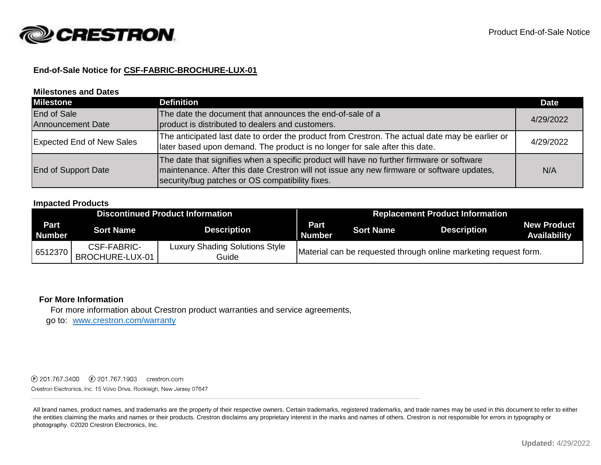

## **End-of-Sale Notice for CSF-FABRIC-BROCHURE-LUX-01**

#### **Milestones and Dates**

| <b>Milestone</b>                               | <b>Definition</b>                                                                                                                                                                                                                          | <b>Date</b> |
|------------------------------------------------|--------------------------------------------------------------------------------------------------------------------------------------------------------------------------------------------------------------------------------------------|-------------|
| <b>End of Sale</b><br><b>Announcement Date</b> | The date the document that announces the end-of-sale of a<br>product is distributed to dealers and customers.                                                                                                                              | 4/29/2022   |
| <b>Expected End of New Sales</b>               | The anticipated last date to order the product from Crestron. The actual date may be earlier or<br>later based upon demand. The product is no longer for sale after this date.                                                             | 4/29/2022   |
| End of Support Date                            | The date that signifies when a specific product will have no further firmware or software<br>maintenance. After this date Crestron will not issue any new firmware or software updates,<br>security/bug patches or OS compatibility fixes. | N/A         |

#### **Impacted Products**

| <b>Discontinued Product Information</b> |                                |                                                | <b>Replacement Product Information</b> |                  |                                                                  |                                           |
|-----------------------------------------|--------------------------------|------------------------------------------------|----------------------------------------|------------------|------------------------------------------------------------------|-------------------------------------------|
| <b>Part</b><br><b>Number</b>            | <b>Sort Name</b>               | <b>Description</b>                             | <b>Part</b><br><b>Number</b>           | <b>Sort Name</b> | <b>Description</b>                                               | <b>New Product</b><br><b>Availability</b> |
| 6512370                                 | CSF-FABRIC-<br>BROCHURE-LUX-01 | <b>Luxury Shading Solutions Style</b><br>Guide |                                        |                  | Material can be requested through online marketing request form. |                                           |

### **For More Information**

For more information about Crestron product warranties and service agreements,

go to: [www.crestron.com/warranty](http://www.crestron.com/warranty)

Crestron Electronics, Inc. 15 Volvo Drive, Rockleigh, New Jersey 07647

All brand names, product names, and trademarks are the property of their respective owners. Certain trademarks, registered trademarks, and trade names may be used in this document to refer to either the entities claiming the marks and names or their products. Crestron disclaims any proprietary interest in the marks and names of others. Crestron is not responsible for errors in typography or photography. ©2020 Crestron Electronics, Inc.